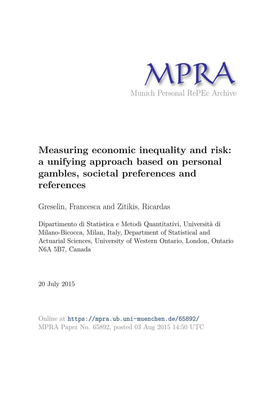

# **Measuring economic inequality and risk: a unifying approach based on personal gambles, societal preferences and references**

Greselin, Francesca and Zitikis, Ricardas

Dipartimento di Statistica e Metodi Quantitativi, Università di Milano-Bicocca, Milan, Italy, Department of Statistical and Actuarial Sciences, University of Western Ontario, London, Ontario N6A 5B7, Canada

20 July 2015

Online at https://mpra.ub.uni-muenchen.de/65892/ MPRA Paper No. 65892, posted 03 Aug 2015 14:50 UTC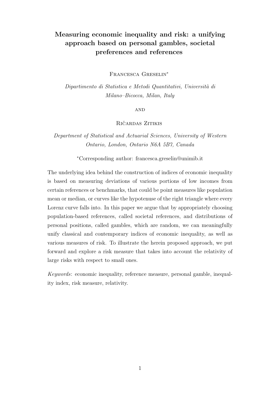# Measuring economic inequality and risk: a unifying approach based on personal gambles, societal preferences and references

Francesca Greselin<sup>∗</sup>

Dipartimento di Statistica e Metodi Quantitativi, Università di Milano–Bicocca, Milan, Italy

**AND** 

RIČARDAS ZITIKIS

Department of Statistical and Actuarial Sciences, University of Western Ontario, London, Ontario N6A 5B7, Canada

<sup>∗</sup>Corresponding author: francesca.greselin@unimib.it

The underlying idea behind the construction of indices of economic inequality is based on measuring deviations of various portions of low incomes from certain references or benchmarks, that could be point measures like population mean or median, or curves like the hypotenuse of the right triangle where every Lorenz curve falls into. In this paper we argue that by appropriately choosing population-based references, called societal references, and distributions of personal positions, called gambles, which are random, we can meaningfully unify classical and contemporary indices of economic inequality, as well as various measures of risk. To illustrate the herein proposed approach, we put forward and explore a risk measure that takes into account the relativity of large risks with respect to small ones.

Keywords: economic inequality, reference measure, personal gamble, inequality index, risk measure, relativity.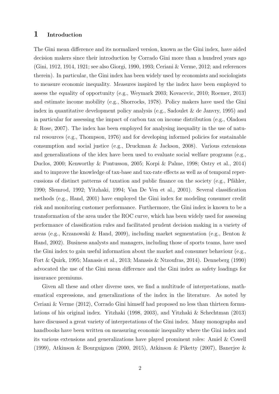#### 1 Introduction

The Gini mean difference and its normalized version, known as the Gini index, have aided decision makers since their introduction by Corrado Gini more than a hundred years ago (Gini, 1912, 1914, 1921; see also Giorgi, 1990, 1993; Ceriani & Verme, 2012; and references therein). In particular, the Gini index has been widely used by economists and sociologists to measure economic inequality. Measures inspired by the index have been employed to assess the equality of opportunity (e.g., Weymark 2003; Kovacevic, 2010; Roemer, 2013) and estimate income mobility (e.g., Shorrocks, 1978). Policy makers have used the Gini index in quantitative development policy analysis (e.g., Sadoulet & de Janvry, 1995) and in particular for assessing the impact of carbon tax on income distribution (e.g., Oladosu & Rose, 2007). The index has been employed for analysing inequality in the use of natural resources (e.g., Thompson, 1976) and for developing informed policies for sustainable consumption and social justice (e.g., Druckman  $\&$  Jackson, 2008). Various extensions and generalizations of the idex have been used to evaluate social welfare programs (e.g., Duclos, 2000; Kenworthy & Pontusson, 2005; Korpi & Palme, 1998; Ostry et al., 2014) and to improve the knowledge of tax-base and tax-rate effects as well as of temporal repercussions of distinct patterns of taxation and public finance on the society (e.g., Pfähler, 1990; Slemrod, 1992; Yitzhaki, 1994; Van De Ven et al., 2001). Several classification methods (e.g., Hand, 2001) have employed the Gini index for modeling consumer credit risk and monitoring customer performance. Furthermore, the Gini index is known to be a transformation of the area under the ROC curve, which has been widely used for assessing performance of classification rules and facilitated prudent decision making in a variety of areas (e.g., Krzanowski & Hand, 2009), including market segmentation (e.g., Benton & Hand, 2002). Business analysts and managers, including those of sports teams, have used the Gini index to gain useful information about the market and consumer behaviour (e.g., Fort & Quirk, 1995; Manasis et al., 2013; Manasis & Ntzoufras, 2014). Denneberg (1990) advocated the use of the Gini mean difference and the Gini index as safety loadings for insurance premiums.

Given all these and other diverse uses, we find a multitude of interpretations, mathematical expressions, and generalizations of the index in the literature. As noted by Ceriani & Verme (2012), Corrado Gini himself had proposed no less than thirteen formulations of his original index. Yitzhaki (1998, 2003), and Yitzhaki & Schechtman (2013) have discussed a great variety of interpretations of the Gini index. Many monographs and handbooks have been written on measuring economic inequality where the Gini index and its various extensions and generalizations have played prominent roles: Amiel & Cowell (1999), Atkinson & Bourguignon (2000, 2015), Atkinson & Piketty (2007), Banerjee &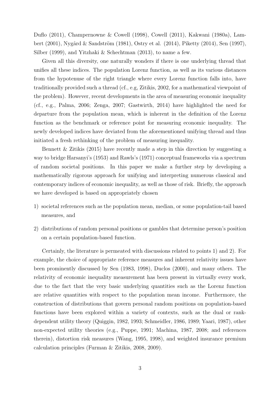Duflo (2011), Champernowne & Cowell (1998), Cowell (2011), Kakwani (1980a), Lambert (2001), Nygård & Sandström (1981), Ostry et al. (2014), Piketty (2014), Sen (1997), Silber (1999), and Yitzhaki & Schechtman (2013), to name a few.

Given all this diversity, one naturally wonders if there is one underlying thread that unifies all these indices. The population Lorenz function, as well as its various distances from the hypotenuse of the right triangle where every Lorenz function falls into, have traditionally provided such a thread (cf., e.g, Zitikis, 2002, for a mathematical viewpoint of the problem). However, recent developments in the area of measuring economic inequality (cf., e.g., Palma, 2006; Zenga, 2007; Gastwirth, 2014) have highlighted the need for departure from the population mean, which is inherent in the definition of the Lorenz function as the benchmark or reference point for measuring economic inequality. The newly developed indices have deviated from the aforementioned unifying thread and thus initiated a fresh rethinking of the problem of measuring inequality.

Bennett & Zitikis (2015) have recently made a step in this direction by suggesting a way to bridge Harsanyi's (1953) and Rawls's (1971) conceptual frameworks via a spectrum of random societal positions. In this paper we make a further step by developing a mathematically rigorous approach for unifying and interpreting numerous classical and contemporary indices of economic inequality, as well as those of risk. Briefly, the approach we have developed is based on appropriately chosen

- 1) societal references such as the population mean, median, or some population-tail based measures, and
- 2) distributions of random personal positions or gambles that determine person's position on a certain population-based function.

Certainly, the literature is permeated with discussions related to points 1) and 2). For example, the choice of appropriate reference measures and inherent relativity issues have been prominently discussed by Sen (1983, 1998), Duclos (2000), and many others. The relativity of economic inequality measurement has been present in virtually every work, due to the fact that the very basic underlying quantities such as the Lorenz function are relative quantities with respect to the population mean income. Furthermore, the construction of distributions that govern personal random positions on population-based functions have been explored within a variety of contexts, such as the dual or rankdependent utility theory (Quiggin, 1982, 1993; Schmeidler, 1986, 1989; Yaari, 1987), other non-expected utility theories (e.g., Puppe, 1991; Machina, 1987, 2008; and references therein), distortion risk measures (Wang, 1995, 1998), and weighted insurance premium calculation principles (Furman & Zitikis, 2008, 2009).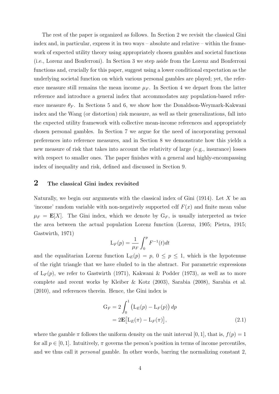The rest of the paper is organized as follows. In Section 2 we revisit the classical Gini index and, in particular, express it in two ways – absolute and relative – within the framework of expected utility theory using appropriately chosen gambles and societal functions (i.e., Lorenz and Bonferroni). In Section 3 we step aside from the Lorenz and Bonferroni functions and, crucially for this paper, suggest using a lower conditional expectation as the underlying societal function on which various personal gambles are played; yet, the reference measure still remains the mean income  $\mu_F$ . In Section 4 we depart from the latter reference and introduce a general index that accommodates any population-based reference measure  $\theta_F$ . In Sections 5 and 6, we show how the Donaldson-Weymark-Kakwani index and the Wang (or distortion) risk measure, as well as their generalizations, fall into the expected utility framework with collective mean-income references and appropriately chosen personal gambles. In Section 7 we argue for the need of incorporating personal preferences into reference measures, and in Section 8 we demonstrate how this yields a new measure of risk that takes into account the relativity of large (e.g., insurance) losses with respect to smaller ones. The paper finishes with a general and highly-encompassing index of inequality and risk, defined and discussed in Section 9.

## 2 The classical Gini index revisited

Naturally, we begin our arguments with the classical index of Gini  $(1914)$ . Let X be an 'income' random variable with non-negatively supported cdf  $F(x)$  and finite mean value  $\mu_F = \mathbf{E}[X]$ . The Gini index, which we denote by  $G_F$ , is usually interpreted as twice the area between the actual population Lorenz function (Lorenz, 1905; Pietra, 1915; Gastwirth, 1971)

$$
L_F(p) = \frac{1}{\mu_F} \int_0^p F^{-1}(t) dt
$$

and the equalitarian Lorenz function  $L_E(p) = p, 0 \leq p \leq 1$ , which is the hypotenuse of the right triangle that we have eluded to in the abstract. For parametric expressions of  $L_F(p)$ , we refer to Gastwirth (1971), Kakwani & Podder (1973), as well as to more complete and recent works by Kleiber & Kotz (2003), Sarabia (2008), Sarabia et al. (2010), and references therein. Hence, the Gini index is

$$
G_F = 2 \int_0^1 \left( L_E(p) - L_F(p) \right) dp
$$
  
= 2**E**[L<sub>E</sub>( $\pi$ ) - L<sub>F</sub>( $\pi$ )], (2.1)

where the gamble  $\pi$  follows the uniform density on the unit interval [0, 1], that is,  $f(p) = 1$ for all  $p \in [0, 1]$ . Intuitively,  $\pi$  governs the person's position in terms of income percentiles, and we thus call it personal gamble. In other words, barring the normalizing constant 2,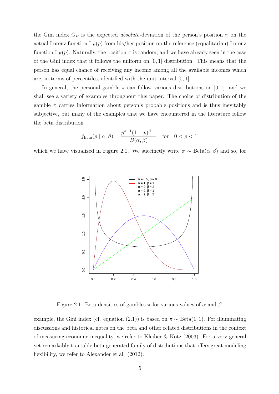the Gini index  $G_F$  is the expected *absolute*-deviation of the person's position  $\pi$  on the actual Lorenz function  $L_F(p)$  from his/her position on the reference (equalitarian) Lorenz function  $L_E(p)$ . Naturally, the position  $\pi$  is random, and we have already seen in the case of the Gini index that it follows the uniform on  $[0, 1]$  distribution. This means that the person has equal chance of receiving any income among all the available incomes which are, in terms of percentiles, identified with the unit interval [0, 1].

In general, the personal gamble  $\pi$  can follow various distributions on [0, 1], and we shall see a variety of examples throughout this paper. The choice of distribution of the gamble  $\pi$  carries information about person's probable positions and is thus inevitably subjective, but many of the examples that we have encountered in the literature follow the beta distribution

$$
f_{\text{Beta}}(p \mid \alpha, \beta) = \frac{p^{\alpha - 1} (1 - p)^{\beta - 1}}{B(\alpha, \beta)} \quad \text{for} \quad 0 < p < 1,
$$

which we have visualized in Figure 2.1. We succinctly write  $\pi \sim \text{Beta}(\alpha, \beta)$  and so, for



Figure 2.1: Beta densities of gambles  $\pi$  for various values of  $\alpha$  and  $\beta$ .

example, the Gini index (cf. equation (2.1)) is based on  $\pi \sim \text{Beta}(1, 1)$ . For illuminating discussions and historical notes on the beta and other related distributions in the context of measuring economic inequality, we refer to Kleiber & Kotz (2003). For a very general yet remarkably tractable beta-generated family of distributions that offers great modeling flexibility, we refer to Alexander et al. (2012).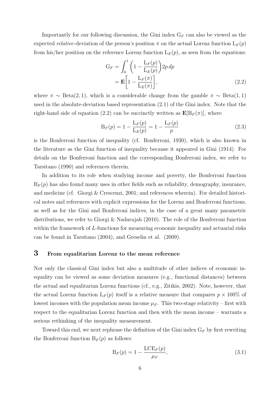Importantly for our following discussion, the Gini index  $G_F$  can also be viewed as the expected *relative*-deviation of the person's position  $\pi$  on the actual Lorenz function  $L_F(p)$ from his/her position on the reference Lorenz function  $L_E(p)$ , as seen from the equations:

$$
G_F = \int_0^1 \left( 1 - \frac{L_F(p)}{L_E(p)} \right) 2p \, dp
$$
  
= 
$$
\mathbf{E} \left[ 1 - \frac{L_F(\pi)}{L_E(\pi)} \right],
$$
 (2.2)

where  $\pi \sim \text{Beta}(2, 1)$ , which is a considerable change from the gamble  $\pi \sim \text{Beta}(1, 1)$ used in the absolute-deviation based representation (2.1) of the Gini index. Note that the right-hand side of equation (2.2) can be succinctly written as  $\mathbf{E}[B_F(\pi)]$ , where

$$
B_F(p) = 1 - \frac{L_F(p)}{L_E(p)} = 1 - \frac{L_F(p)}{p}
$$
\n(2.3)

is the Bonferroni function of inequality (cf. Bonferroni, 1930), which is also known in the literature as the Gini function of inequality because it appeared in Gini (1914). For details on the Bonferroni function and the corresponding Bonferroni index, we refer to Tarsitano (1990) and references therein.

In addition to its role when studying income and poverty, the Bonferroni function  $B_F(p)$  has also found many uses in other fields such as reliability, demography, insurance, and medicine (cf. Giorgi & Crescenzi, 2001; and references wherein). For detailed historical notes and references with explicit expressions for the Lorenz and Bonferroni functions, as well as for the Gini and Bonferroni indices, in the case of a great many parametric distributions, we refer to Giorgi & Nadarajah (2010). The role of the Bonferroni function within the framework of L-functions for measuring economic inequality and actuarial risks can be found in Tarsitano (2004), and Greselin et al. (2009).

#### 3 From equalitarian Lorenz to the mean reference

Not only the classical Gini index but also a multitude of other indices of economic inequality can be viewed as some deviation measures (e.g., functional distances) between the actual and equalitarian Lorenz functions (cf., e.g., Zitikis, 2002). Note, however, that the actual Lorenz function  $L_F(p)$  itself is a relative measure that compares  $p \times 100\%$  of lowest incomes with the population mean income  $\mu_F$ . This two-stage relativity – first with respect to the equalitarian Lorenz function and then with the mean income – warrants a serious rethinking of the inequality measurement.

Toward this end, we next rephrase the definition of the Gini index  $G_F$  by first rewriting the Bonferroni function  $B_F(p)$  as follows:

$$
B_F(p) = 1 - \frac{LCE_F(p)}{\mu_F},
$$
\n(3.1)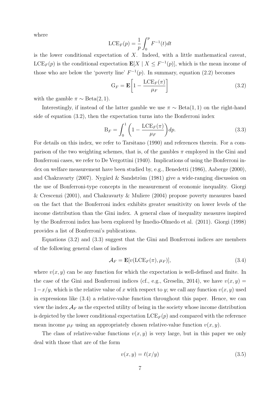where

$$
\text{LCE}_F(p) = \frac{1}{p} \int_0^p F^{-1}(t) dt
$$

is the lower conditional expectation of  $X$ . Indeed, with a little mathematical caveat,  $LCE_F(p)$  is the conditional expectation  $\mathbf{E}[X \mid X \leq F^{-1}(p)]$ , which is the mean income of those who are below the 'poverty line'  $F^{-1}(p)$ . In summary, equation (2.2) becomes

$$
G_F = \mathbf{E} \left[ 1 - \frac{LCE_F(\pi)}{\mu_F} \right]
$$
 (3.2)

with the gamble  $\pi \sim \text{Beta}(2, 1)$ .

Interestingly, if instead of the latter gamble we use  $\pi \sim \text{Beta}(1, 1)$  on the right-hand side of equation (3.2), then the expectation turns into the Bonferroni index

$$
B_F = \int_0^1 \left( 1 - \frac{\text{LCE}_F(\pi)}{\mu_F} \right) dp. \tag{3.3}
$$

For details on this index, we refer to Tarsitano (1990) and references therein. For a comparison of the two weighting schemes, that is, of the gambles  $\pi$  employed in the Gini and Bonferroni cases, we refer to De Vergottini (1940). Implications of using the Bonferroni index on welfare measurement have been studied by, e.g., Benedetti (1986), Aaberge (2000), and Chakravarty (2007). Nygård & Sandström (1981) give a wide-ranging discussion on the use of Bonferroni-type concepts in the measurement of economic inequality. Giorgi & Crescenzi (2001), and Chakravarty & Muliere (2004) propose poverty measures based on the fact that the Bonferroni index exhibits greater sensitivity on lower levels of the income distribution than the Gini index. A general class of inequality measures inspired by the Bonferroni index has been explored by Imedio-Olmedo et al. (2011). Giorgi (1998) provides a list of Bonferroni's publications.

Equations (3.2) and (3.3) suggest that the Gini and Bonferroni indices are members of the following general class of indices

$$
\mathcal{A}_F = \mathbf{E}[v(\text{LCE}_F(\pi), \mu_F)],\tag{3.4}
$$

where  $v(x, y)$  can be any function for which the expectation is well-defined and finite. In the case of the Gini and Bonferroni indices (cf., e.g., Greselin, 2014), we have  $v(x, y) =$  $1-x/y$ , which is the relative value of x with respect to y; we call any function  $v(x, y)$  used in expressions like (3.4) a relative-value function throughout this paper. Hence, we can view the index  $\mathcal{A}_F$  as the expected utility of being in the society whose income distribution is depicted by the lower conditional expectation  $LCE_F(p)$  and compared with the reference mean income  $\mu_F$  using an appropriately chosen relative-value function  $v(x, y)$ .

The class of relative-value functions  $v(x, y)$  is very large, but in this paper we only deal with those that are of the form

$$
v(x,y) = \ell(x/y) \tag{3.5}
$$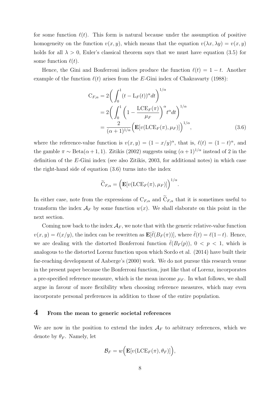for some function  $\ell(t)$ . This form is natural because under the assumption of positive homogeneity on the function  $v(x, y)$ , which means that the equation  $v(\lambda x, \lambda y) = v(x, y)$ holds for all  $\lambda > 0$ , Euler's classical theorem says that we must have equation (3.5) for some function  $\ell(t)$ .

Hence, the Gini and Bonferroni indices produce the function  $\ell(t) = 1 - t$ . Another example of the function  $\ell(t)$  arises from the E-Gini index of Chakravarty (1988):

$$
C_{F,\alpha} = 2\left(\int_0^1 (t - L_F(t))^{\alpha} dt\right)^{1/\alpha}
$$
  
= 
$$
2\left(\int_0^1 \left(1 - \frac{LCE_F(\pi)}{\mu_F}\right)^{\alpha} t^{\alpha} dt\right)^{1/\alpha}
$$
  
= 
$$
\frac{2}{(\alpha + 1)^{1/\alpha}} \left(\mathbf{E}[v(LCE_F(\pi), \mu_F)]\right)^{1/\alpha},
$$
(3.6)

where the reference-value function is  $v(x, y) = (1 - x/y)^{\alpha}$ , that is,  $\ell(t) = (1 - t)^{\alpha}$ , and the gamble  $\pi \sim \text{Beta}(\alpha + 1, 1)$ . Zitikis (2002) suggests using  $(\alpha + 1)^{1/\alpha}$  instead of 2 in the definition of the E-Gini index (see also Zitikis, 2003, for additional notes) in which case the right-hand side of equation (3.6) turns into the index

$$
\widetilde{\mathbf{C}}_{F,\alpha} = \left( \mathbf{E}[v(\mathbf{LCE}_F(\pi), \mu_F)] \right)^{1/\alpha}.
$$

In either case, note from the expressions of  $C_{F,\alpha}$  and  $\widetilde{C}_{F,\alpha}$  that it is sometimes useful to transform the index  $\mathcal{A}_F$  by some function  $w(x)$ . We shall elaborate on this point in the next section.

Coming now back to the index  $\mathcal{A}_F$ , we note that with the generic relative-value function  $v(x,y) = \ell(x/y)$ , the index can be rewritten as  $\mathbf{E}[\bar{\ell}(B_F(\pi))],$  where  $\bar{\ell}(t) = \ell(1-t)$ . Hence, we are dealing with the distorted Bonferroni function  $\bar{\ell}(B_F(p)), 0 < p < 1$ , which is analogous to the distorted Lorenz function upon which Sordo et al. (2014) have built their far-reaching development of Aaberge's (2000) work. We do not pursue this research venue in the present paper because the Bonferroni function, just like that of Lorenz, incorporates a pre-specified reference measure, which is the mean income  $\mu_F$ . In what follows, we shall argue in favour of more flexibility when choosing reference measures, which may even incorporate personal preferences in addition to those of the entire population.

#### 4 From the mean to generic societal references

We are now in the position to extend the index  $A_F$  to arbitrary references, which we denote by  $\theta_F$ . Namely, let

$$
\mathcal{B}_F = w\Big(\mathbf{E}[v(\text{LCE}_F(\pi), \theta_F)]\Big),\,
$$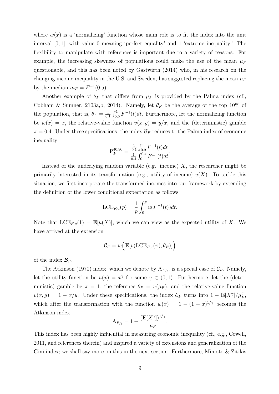where  $w(x)$  is a 'normalizing' function whose main role is to fit the index into the unit interval [0, 1], with value 0 meaning 'perfect equality' and 1 'extreme inequality.' The flexibility to manipulate with references is important due to a variety of reasons. For example, the increasing skewness of populations could make the use of the mean  $\mu_F$ questionable, and this has been noted by Gastwirth (2014) who, in his research on the changing income inequality in the U.S. and Sweden, has suggested replacing the mean  $\mu_F$ by the median  $m_F = F^{-1}(0.5)$ .

Another example of  $\theta_F$  that differs from  $\mu_F$  is provided by the Palma index (cf., Cobham & Sumner, 2103a,b, 2014). Namely, let  $\theta_F$  be the average of the top 10% of the population, that is,  $\theta_F = \frac{1}{0}$  $\frac{1}{0.1} \int_{0.9}^{1} F^{-1}(t) dt$ . Furthermore, let the normalizing function be  $w(x) = x$ , the relative-value function  $v(x, y) = y/x$ , and the (deterministic) gamble  $\pi = 0.4$ . Under these specifications, the index  $\mathcal{B}_F$  reduces to the Palma index of economic inequality:

$$
P_F^{40,90} = \frac{\frac{1}{0.1} \int_{0.9}^1 F^{-1}(t)dt}{\frac{1}{0.4} \int_0^{0.4} F^{-1}(t)dt}.
$$

Instead of the underlying random variable (e.g., income)  $X$ , the researcher might be primarily interested in its transformation (e.g., utility of income)  $u(X)$ . To tackle this situation, we first incorporate the transformed incomes into our framework by extending the definition of the lower conditional expectation as follows:

$$
\text{LCE}_{F,u}(p) = \frac{1}{p} \int_0^p u(F^{-1}(t)) dt.
$$

Note that  $LCE_{F,u}(1) = \mathbf{E}[u(X)]$ , which we can view as the expected utility of X. We have arrived at the extension

$$
\mathcal{C}_F = w\Big(\mathbf{E}[v(\mathrm{LCE}_{F,u}(\pi),\theta_F)]\Big)
$$

of the index  $\mathcal{B}_F$ .

The Atkinson (1970) index, which we denote by  $A_{F,\gamma}$ , is a special case of  $\mathcal{C}_F$ . Namely, let the utility function be  $u(x) = x^{\gamma}$  for some  $\gamma \in (0,1)$ . Furthermore, let the (deterministic) gamble be  $\pi = 1$ , the reference  $\theta_F = u(\mu_F)$ , and the relative-value function  $v(x, y) = 1 - x/y$ . Under these specifications, the index  $\mathcal{C}_F$  turns into  $1 - \mathbf{E}[X^{\gamma}]/\mu_F^{\gamma}$ , which after the transformation with the function  $w(x) = 1 - (1 - x)^{1/\gamma}$  becomes the Atkinson index

$$
A_{F,\gamma} = 1 - \frac{(\mathbf{E}[X^{\gamma}])^{1/\gamma}}{\mu_F}.
$$

This index has been highly influential in measuring economic inequality (cf., e.g., Cowell, 2011, and references therein) and inspired a variety of extensions and generalization of the Gini index; we shall say more on this in the next section. Furthermore, Mimoto & Zitikis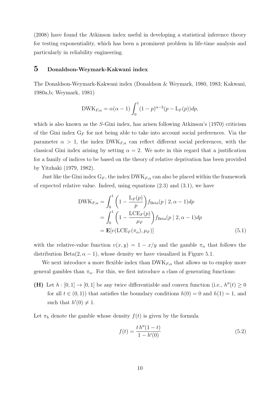(2008) have found the Atkinson index useful in developing a statistical inference theory for testing exponentiality, which has been a prominent problem in life-time analysis and particularly in reliability engineering.

#### 5 Donaldson-Weymark-Kakwani index

The Donaldson-Weymark-Kakwani index (Donaldson & Weymark, 1980, 1983; Kakwani, 1980a,b; Weymark, 1981)

DWK<sub>F,\alpha</sub> = 
$$
\alpha(\alpha - 1) \int_0^1 (1 - p)^{\alpha - 2} (p - L_F(p)) dp
$$
,

which is also known as the S-Gini index, has arisen following Atkinson's (1970) criticism of the Gini index  $G_F$  for not being able to take into account social preferences. Via the parameter  $\alpha > 1$ , the index DWK<sub>F, $\alpha$ </sub> can reflect different social preferences, with the classical Gini index arising by setting  $\alpha = 2$ . We note in this regard that a justification for a family of indices to be based on the theory of relative deprivation has been provided by Yitzhaki (1979, 1982).

Just like the Gini index  $G_F$ , the index DWK $_{F,\alpha}$  can also be placed within the framework of expected relative value. Indeed, using equations  $(2.3)$  and  $(3.1)$ , we have

$$
DWK_{F,\alpha} = \int_0^1 \left( 1 - \frac{L_F(p)}{p} \right) f_{Beta}(p | 2, \alpha - 1) dp
$$
  
= 
$$
\int_0^1 \left( 1 - \frac{LCE_F(p)}{\mu_F} \right) f_{Beta}(p | 2, \alpha - 1) dp
$$
  
= 
$$
\mathbf{E}[v(LCE_F(\pi_\alpha), \mu_F)]
$$
 (5.1)

with the relative-value function  $v(x, y) = 1 - x/y$  and the gamble  $\pi_{\alpha}$  that follows the distribution Beta $(2, \alpha - 1)$ , whose density we have visualized in Figure 5.1.

We next introduce a more flexible index than  $DWK_{F,\alpha}$  that allows us to employ more general gambles than  $\pi_{\alpha}$ . For this, we first introduce a class of generating functions:

(H) Let  $h : [0,1] \to [0,1]$  be any twice differentiable and convex function (i.e.,  $h''(t) \geq 0$ for all  $t \in (0,1)$  that satisfies the boundary conditions  $h(0) = 0$  and  $h(1) = 1$ , and such that  $h'(0) \neq 1$ .

Let  $\pi_h$  denote the gamble whose density  $f(t)$  is given by the formula

$$
f(t) = \frac{t h''(1 - t)}{1 - h'(0)}
$$
\n(5.2)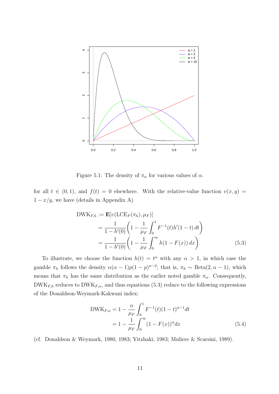

Figure 5.1: The density of  $\pi_{\alpha}$  for various values of  $\alpha$ .

for all  $t \in (0,1)$ , and  $f(t) = 0$  elsewhere. With the relative-value function  $v(x, y) =$  $1 - x/y$ , we have (details in Appendix A)

DWK<sub>F,h</sub> := 
$$
\mathbf{E}[v(\text{LCE}_F(\pi_h), \mu_F)]
$$
  
\n
$$
= \frac{1}{1 - h'(0)} \left( 1 - \frac{1}{\mu_F} \int_0^1 F^{-1}(t) h'(1 - t) dt \right)
$$
\n
$$
= \frac{1}{1 - h'(0)} \left( 1 - \frac{1}{\mu_F} \int_0^\infty h(1 - F(x)) dx \right).
$$
\n(5.3)

To illustrate, we choose the function  $h(t) = t^{\alpha}$  with any  $\alpha > 1$ , in which case the gamble  $\pi_h$  follows the density  $\alpha(\alpha-1)p(1-p)^{\alpha-2}$ ; that is,  $\pi_h \sim \text{Beta}(2, \alpha-1)$ , which means that  $\pi_h$  has the same distribution as the earlier noted gamble  $\pi_\alpha$ . Consequently,  $DWK_{F,h}$  reduces to  $DWK_{F,\alpha}$ , and thus equations (5.3) reduce to the following expressions of the Donaldson-Weymark-Kakwani index:

$$
DWK_{F,\alpha} = 1 - \frac{\alpha}{\mu_F} \int_0^1 F^{-1}(t)(1-t)^{\alpha-1} dt
$$
  
=  $1 - \frac{1}{\mu_F} \int_0^\infty (1 - F(x))^{\alpha} dx$  (5.4)

(cf. Donaldson & Weymark, 1980, 1983; Yitzhaki, 1983; Muliere & Scarsini, 1989).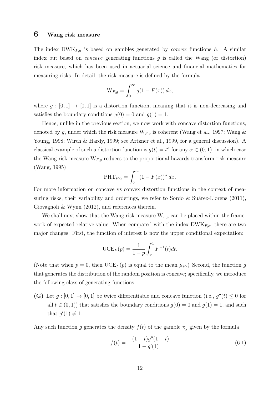#### 6 Wang risk measure

The index  $DWK_{F,h}$  is based on gambles generated by *convex* functions h. A similar index but based on *concave* generating functions  $g$  is called the Wang (or distortion) risk measure, which has been used in actuarial science and financial mathematics for measuring risks. In detail, the risk measure is defined by the formula

$$
\mathcal{W}_{F,g} = \int_0^\infty g(1 - F(x)) \, dx,
$$

where  $g : [0,1] \to [0,1]$  is a distortion function, meaning that it is non-decreasing and satisfies the boundary conditions  $g(0) = 0$  and  $g(1) = 1$ .

Hence, unlike in the previous section, we now work with concave distortion functions, denoted by g, under which the risk measure  $W_{F,g}$  is coherent (Wang et al., 1997; Wang  $\&$ Young, 1998; Wirch & Hardy, 1999; see Artzner et al., 1999, for a general discussion). A classical example of such a distortion function is  $g(t) = t^{\alpha}$  for any  $\alpha \in (0, 1)$ , in which case the Wang risk measure  $W_{F,g}$  reduces to the proportional-hazards-transform risk measure (Wang, 1995)

$$
\text{PHT}_{F,\alpha} = \int_0^\infty (1 - F(x))^\alpha \, dx.
$$

For more information on concave vs convex distortion functions in the context of measuring risks, their variability and orderings, we refer to Sordo  $\&$  Suárez-Llorens (2011), Giovagnoli & Wynn (2012), and references therein.

We shall next show that the Wang risk measure  $W_{F,g}$  can be placed within the framework of expected relative value. When compared with the index  $DWK_{F,\alpha}$ , there are two major changes: First, the function of interest is now the upper conditional expectation:

$$
\text{UCE}_F(p) = \frac{1}{1-p} \int_p^1 F^{-1}(t) dt.
$$

(Note that when  $p = 0$ , then  $\mathrm{UCE}_F(p)$  is equal to the mean  $\mu_F$ .) Second, the function g that generates the distribution of the random position is concave; specifically, we introduce the following class of generating functions:

(G) Let  $g:[0,1] \to [0,1]$  be twice differentiable and concave function (i.e.,  $g''(t) \leq 0$  for all  $t \in (0, 1)$  that satisfies the boundary conditions  $g(0) = 0$  and  $g(1) = 1$ , and such that  $g'(1) \neq 1$ .

Any such function g generates the density  $f(t)$  of the gamble  $\pi_g$  given by the formula

$$
f(t) = \frac{-(1-t)g''(1-t)}{1 - g'(1)}
$$
\n(6.1)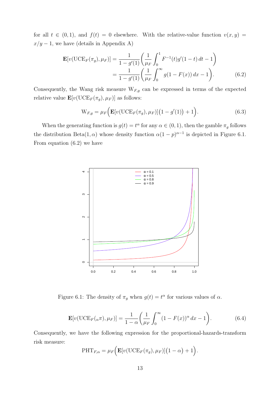for all  $t \in (0,1)$ , and  $f(t) = 0$  elsewhere. With the relative-value function  $v(x, y) =$  $x/y - 1$ , we have (details in Appendix A)

$$
\mathbf{E}[v(\text{UCE}_F(\pi_g), \mu_F)] = \frac{1}{1 - g'(1)} \left( \frac{1}{\mu_F} \int_0^1 F^{-1}(t) g'(1 - t) dt - 1 \right)
$$

$$
= \frac{1}{1 - g'(1)} \left( \frac{1}{\mu_F} \int_0^\infty g(1 - F(x)) dx - 1 \right). \tag{6.2}
$$

Consequently, the Wang risk measure  $W_{F,g}$  can be expressed in terms of the expected relative value  $\mathbf{E}[v(\mathrm{UCE}_F(\pi_g), \mu_F)]$  as follows:

$$
W_{F,g} = \mu_F \Big( \mathbf{E} [v( \text{UCE}_F(\pi_g), \mu_F)] \big( 1 - g'(1) \big) + 1 \Big). \tag{6.3}
$$

When the generating function is  $g(t) = t^{\alpha}$  for any  $\alpha \in (0, 1)$ , then the gamble  $\pi_g$  follows the distribution Beta $(1, \alpha)$  whose density function  $\alpha(1-p)^{\alpha-1}$  is depicted in Figure 6.1. From equation (6.2) we have



Figure 6.1: The density of  $\pi_g$  when  $g(t) = t^{\alpha}$  for various values of  $\alpha$ .

$$
\mathbf{E}[v(\text{UCE}_F(\alpha \pi), \mu_F)] = \frac{1}{1 - \alpha} \left( \frac{1}{\mu_F} \int_0^\infty (1 - F(x))^\alpha dx - 1 \right). \tag{6.4}
$$

Consequently, we have the following expression for the proportional-hazards-transform risk measure:

$$
\mathrm{PHT}_{F,\alpha} = \mu_F \Big( \mathbf{E}[v(\mathrm{UCE}_F(\pi_g), \mu_F)] \big(1-\alpha\big) + 1 \Big).
$$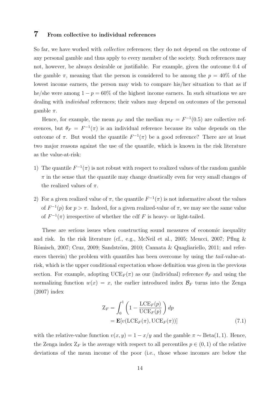#### 7 From collective to individual references

So far, we have worked with *collective* references; they do not depend on the outcome of any personal gamble and thus apply to every member of the society. Such references may not, however, be always desirable or justifiable. For example, given the outcome 0.4 of the gamble  $\pi$ , meaning that the person is considered to be among the  $p = 40\%$  of the lowest income earners, the person may wish to compare his/her situation to that as if he/she were among  $1 - p = 60\%$  of the highest income earners. In such situations we are dealing with individual references; their values may depend on outcomes of the personal gamble  $\pi$ .

Hence, for example, the mean  $\mu_F$  and the median  $m_F = F^{-1}(0.5)$  are collective references, but  $\theta_F = F^{-1}(\pi)$  is an individual reference because its value depends on the outcome of π. But would the quantile  $F^{-1}(\pi)$  be a good reference? There are at least two major reasons against the use of the quantile, which is known in the risk literature as the value-at-risk:

- 1) The quantile  $F^{-1}(\pi)$  is not robust with respect to realized values of the random gamble  $\pi$  in the sense that the quantile may change drastically even for very small changes of the realized values of  $\pi$ .
- 2) For a given realized value of  $\pi$ , the quantile  $F^{-1}(\pi)$  is not informative about the values of  $F^{-1}(p)$  for  $p > \pi$ . Indeed, for a given realized-value of  $\pi$ , we may see the same value of  $F^{-1}(\pi)$  irrespective of whether the cdf F is heavy- or light-tailed.

These are serious issues when constructing sound measures of economic inequality and risk. In the risk literature (cf., e.g., McNeil et al., 2005; Meucci, 2007; Pflug & Römisch, 2007; Cruz, 2009; Sandström, 2010; Cannata & Quagliariello, 2011; and references therein) the problem with quantiles has been overcome by using the *tail-value-at*risk, which is the upper conditional expectation whose definition was given in the previous section. For example, adopting  $\mathrm{UCE}_F(\pi)$  as our (individual) reference  $\theta_F$  and using the normalizing function  $w(x) = x$ , the earlier introduced index  $\mathcal{B}_F$  turns into the Zenga (2007) index

$$
Z_F = \int_0^1 \left( 1 - \frac{\text{LCE}_F(p)}{\text{UCE}_F(p)} \right) dp
$$
  
=  $\mathbf{E}[v(\text{LCE}_F(\pi), \text{UCE}_F(\pi))]$  (7.1)

with the relative-value function  $v(x, y) = 1 - x/y$  and the gamble  $\pi \sim \text{Beta}(1, 1)$ . Hence, the Zenga index  $Z_F$  is the average with respect to all percentiles  $p \in (0, 1)$  of the relative deviations of the mean income of the poor (i.e., those whose incomes are below the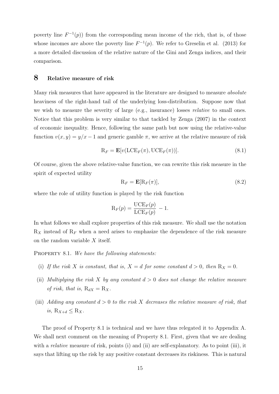poverty line  $F^{-1}(p)$  from the corresponding mean income of the rich, that is, of those whose incomes are above the poverty line  $F^{-1}(p)$ . We refer to Greselin et al. (2013) for a more detailed discussion of the relative nature of the Gini and Zenga indices, and their comparison.

#### 8 Relative measure of risk

Many risk measures that have appeared in the literature are designed to measure absolute heaviness of the right-hand tail of the underlying loss-distribution. Suppose now that we wish to measure the severity of large (e.g., insurance) losses relative to small ones. Notice that this problem is very similar to that tackled by Zenga (2007) in the context of economic inequality. Hence, following the same path but now using the relative-value function  $v(x, y) = y/x - 1$  and generic gamble  $\pi$ , we arrive at the relative measure of risk

$$
R_F = \mathbf{E}[v(\text{LCE}_F(\pi), \text{UCE}_F(\pi))]. \tag{8.1}
$$

Of course, given the above relative-value function, we can rewrite this risk measure in the spirit of expected utility

$$
R_F = \mathbf{E}[R_F(\pi)],\tag{8.2}
$$

where the role of utility function is played by the risk function

$$
\mathrm{R}_F(p) = \frac{\mathrm{UCE}_F(p)}{\mathrm{LCE}_F(p)} - 1.
$$

In what follows we shall explore properties of this risk measure. We shall use the notation  $R_X$  instead of  $R_F$  when a need arises to emphasize the dependence of the risk measure on the random variable X itself.

PROPERTY 8.1. We have the following statements:

- (i) If the risk X is constant, that is,  $X = d$  for some constant  $d > 0$ , then  $R_X = 0$ .
- (ii) Multiplying the risk X by any constant  $d > 0$  does not change the relative measure of risk, that is,  $R_{dX} = R_X$ .
- (iii) Adding any constant  $d > 0$  to the risk X decreases the relative measure of risk, that is,  $R_{X+d} \leq R_X$ .

The proof of Property 8.1 is technical and we have thus relegated it to Appendix A. We shall next comment on the meaning of Property 8.1. First, given that we are dealing with a *relative* measure of risk, points (i) and (ii) are self-explanatory. As to point (iii), it says that lifting up the risk by any positive constant decreases its riskiness. This is natural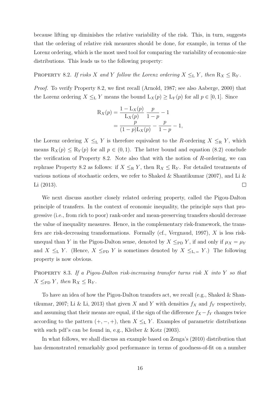because lifting up diminishes the relative variability of the risk. This, in turn, suggests that the ordering of relative risk measures should be done, for example, in terms of the Lorenz ordering, which is the most used tool for comparing the variability of economic-size distributions. This leads us to the following property:

PROPERTY 8.2. If risks X and Y follow the Lorenz ordering  $X \leq_L Y$ , then  $R_X \leq R_Y$ .

Proof. To verify Property 8.2, we first recall (Arnold, 1987; see also Aaberge, 2000) that the Lorenz ordering  $X \leq_{\text{L}} Y$  means the bound  $L_X(p) \geq L_Y(p)$  for all  $p \in [0,1]$ . Since

$$
R_X(p) = \frac{1 - L_X(p)}{L_X(p)} \frac{p}{1 - p} - 1
$$
  
= 
$$
\frac{p}{(1 - p)L_X(p)} - \frac{p}{1 - p} - 1,
$$

the Lorenz ordering  $X \leq_{\text{L}} Y$  is therefore equivalent to the R-ordering  $X \leq_{\text{R}} Y$ , which means  $R_X(p) \le R_Y(p)$  for all  $p \in (0,1)$ . The latter bound and equation (8.2) conclude the verification of Property 8.2. Note also that with the notion of R-ordering, we can rephrase Property 8.2 as follows: if  $X \leq_R Y$ , then  $R_X \leq R_Y$ . For detailed treatments of various notions of stochastic orders, we refer to Shaked & Shantikumar (2007), and Li & Li (2013).  $\Box$ 

We next discuss another closely related ordering property, called the Pigou-Dalton principle of transfers. In the context of economic inequality, the principle says that progressive (i.e., from rich to poor) rank-order and mean-preserving transfers should decrease the value of inequality measures. Hence, in the complementary risk-framework, the transfers are risk-decreasing transformations. Formally (cf., Vergnaud, 1997), X is less riskunequal than Y in the Pigou-Dalton sense, denoted by  $X \leq_{\text{PD}} Y$ , if and only if  $\mu_X = \mu_Y$ and  $X \leq_{\text{L}} Y$ . (Hence,  $X \leq_{\text{PD}} Y$  is sometimes denoted by  $X \leq_{\text{L},=} Y$ .) The following property is now obvious.

Property 8.3. If a Pigou-Dalton risk-increasing transfer turns risk X into Y so that  $X \leq_{\text{PD}} Y$ , then  $R_X \leq R_Y$ .

To have an idea of how the Pigou-Dalton transfers act, we recall (e.g., Shaked & Shantikumar, 2007; Li & Li, 2013) that given X and Y with densities  $f_X$  and  $f_Y$  respectively, and assuming that their means are equal, if the sign of the difference  $f_X - f_Y$  changes twice according to the pattern  $(+, -, +)$ , then  $X \leq_{\mathbb{L}} Y$ . Examples of parametric distributions with such pdf's can be found in, e.g., Kleiber & Kotz (2003).

In what follows, we shall discuss an example based on Zenga's (2010) distribution that has demonstrated remarkably good performance in terms of goodness-of-fit on a number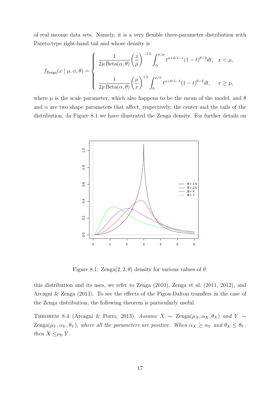of real income data sets. Namely, it is a very flexible three-parameter distribution with Pareto-type right-hand tail and whose density is

$$
f_{\text{Zenga}}(x \mid \mu, \alpha, \theta) = \begin{cases} \frac{1}{2\mu \text{ Beta}(\alpha, \theta)} \left(\frac{x}{\mu}\right)^{-1.5} \int_0^{x/\mu} t^{\alpha+0.5-1} (1-t)^{\theta-2} dt, & x < \mu, \\ \\ \frac{1}{2\mu \text{ Beta}(\alpha, \theta)} \left(\frac{\mu}{x}\right)^{1.5} \int_0^{\mu/x} t^{\alpha+0.5-1} (1-t)^{\theta-2} dt, & x \ge \mu, \end{cases}
$$

where  $\mu$  is the scale parameter, which also happens to be the mean of the model, and  $\theta$ and  $\alpha$  are two shape parameters that affect, respectively, the center and the tails of the distribution. In Figure 8.1 we have illustrated the Zenga density. For further details on



Figure 8.1:  $\text{Zenga}(2, 2, \theta)$  density for various values of  $\theta$ .

this distribution and its uses, we refer to Zenga (2010), Zenga et al. (2011, 2012), and Arcagni & Zenga (2013). To see the effects of the Pigou-Dalton transfers in the case of the Zenga distribution, the following theorem is particularly useful.

THEOREM 8.4 (Arcagni & Porro, 2013). Assume  $X \sim \text{Zenga}(\mu_X, \alpha_X, \theta_X)$  and  $Y \sim$ Zenga( $\mu_Y, \alpha_Y, \theta_Y$ ), where all the parameters are positive. When  $\alpha_X \ge \alpha_Y$  and  $\theta_X \le \theta_Y$ , then  $X \leq_{\text{PD}} Y$ .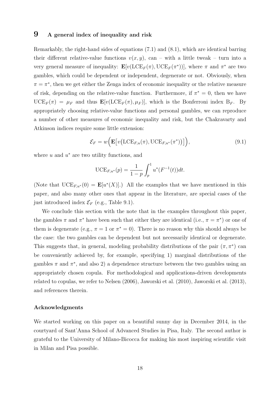#### 9 A general index of inequality and risk

Remarkably, the right-hand sides of equations (7.1) and (8.1), which are identical barring their different relative-value functions  $v(x, y)$ , can – with a little tweak – turn into a very general measure of inequality:  $\mathbf{E}[v(\text{LCE}_F(\pi), \text{UCE}_F(\pi^*))]$ , where  $\pi$  and  $\pi^*$  are two gambles, which could be dependent or independent, degenerate or not. Obviously, when  $\pi = \pi^*$ , then we get either the Zenga index of economic inequality or the relative measure of risk, depending on the relative-value function. Furthermore, if  $\pi^* = 0$ , then we have  $\text{UCE}_F(\pi) = \mu_F$  and thus  $\mathbf{E}[v(\text{LCE}_F(\pi), \mu_F)],$  which is the Bonferroni index  $B_F$ . By appropriately choosing relative-value functions and personal gambles, we can reproduce a number of other measures of economic inequality and risk, but the Chakravarty and Atkinson indices require some little extension:

$$
\mathcal{E}_F = w\Big(\mathbf{E}\big[v\big(\mathrm{LCE}_{F,u}(\pi), \mathrm{UCE}_{F,u^*}(\pi^*)\big)\big]\Big),\tag{9.1}
$$

where  $u$  and  $u^*$  are two utility functions, and

$$
\text{UCE}_{F,u^*}(p) = \frac{1}{1-p} \int_p^1 u^*(F^{-1}(t))dt.
$$

(Note that  $\mathrm{UCE}_{F,u^*}(0) = \mathbf{E}[u^*(X)].$ ) All the examples that we have mentioned in this paper, and also many other ones that appear in the literature, are special cases of the just introduced index  $\mathcal{E}_F$  (e.g., Table 9.1).

We conclude this section with the note that in the examples throughout this paper, the gambles  $\pi$  and  $\pi^*$  have been such that either they are identical (i.e.,  $\pi = \pi^*$ ) or one of them is degenerate (e.g.,  $\pi = 1$  or  $\pi^* = 0$ ). There is no reason why this should always be the case: the two gambles can be dependent but not necessarily identical or degenerate. This suggests that, in general, modeling probability distributions of the pair  $(\pi, \pi^*)$  can be conveniently achieved by, for example, specifying 1) marginal distributions of the gambles  $\pi$  and  $\pi^*$ , and also 2) a dependence structure between the two gambles using an appropriately chosen copula. For methodological and applications-driven developments related to copulas, we refer to Nelsen (2006), Jaworski et al. (2010), Jaworski et al. (2013), and references therein.

#### Acknowledgments

We started working on this paper on a beautiful sunny day in December 2014, in the courtyard of Sant'Anna School of Advanced Studies in Pisa, Italy. The second author is grateful to the University of Milano-Bicocca for making his most inspiring scientific visit in Milan and Pisa possible.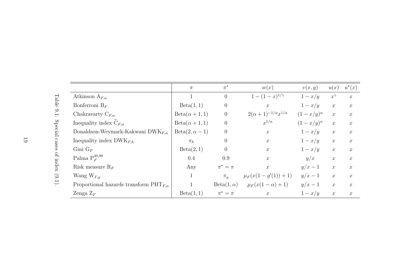|                                                          | $\pi$                 | $\pi^*$          | w(x)                                     | v(x,y)             | u(x)             | $u^*(x)$         |
|----------------------------------------------------------|-----------------------|------------------|------------------------------------------|--------------------|------------------|------------------|
| Atkinson $A_{F,\alpha}$                                  |                       | $\overline{0}$   | $1-(1-x)^{1/\gamma}$                     | $1-x/y$            | $x^{\gamma}$     | $\mathcal{X}$    |
| Bonferroni $B_F$                                         | Beta(1, 1)            | $\theta$         | $\boldsymbol{x}$                         | $1-x/y$            | $\boldsymbol{x}$ | $\mathcal{X}$    |
| Chakravarty $C_{F,\alpha}$                               | $Beta(\alpha + 1, 1)$ | $\theta$         | $2(\alpha + 1)^{-1/\alpha} x^{1/\alpha}$ | $(1-x/y)^{\alpha}$ | $\boldsymbol{x}$ | $\boldsymbol{x}$ |
| Inequality index $C_{F,\alpha}$                          | $Beta(\alpha + 1, 1)$ | $\overline{0}$   | $x^{1/\alpha}$                           | $(1-x/y)^{\alpha}$ | $\boldsymbol{x}$ | $\boldsymbol{x}$ |
| Donaldson-Weymark-Kakwani DWK $_{F,\alpha}$              | $Beta(2, \alpha - 1)$ | $\overline{0}$   | $\boldsymbol{x}$                         | $1-x/y$            | $\boldsymbol{x}$ | $\boldsymbol{x}$ |
| Inequality index $DWK_{F,h}$                             | $\pi_h$               | $\overline{0}$   | $\mathcal{X}$                            | $1-x/y$            | $\boldsymbol{x}$ | $\boldsymbol{x}$ |
| Gini $G_F$                                               | Beta(2, 1)            | $\theta$         | $\boldsymbol{x}$                         | $1-x/y$            | $\boldsymbol{x}$ | $\boldsymbol{x}$ |
| Palma $P_F^{40,90}$                                      | 0.4                   | 0.9              | $\boldsymbol{x}$                         | y/x                | $\boldsymbol{x}$ | $\mathcal{X}$    |
| Risk measure $R_F$                                       | Any                   | $\pi^* = \pi$    | $\mathcal{X}$                            | $y/x-1$            | $\boldsymbol{x}$ | $\boldsymbol{x}$ |
| Wang $W_{F,q}$                                           |                       | $\pi_a$          | $\mu_F(x(1-g'(1))+1)$                    | $y/x-1$            | $\boldsymbol{x}$ | $\boldsymbol{x}$ |
| Proportional hazards transform $\mathrm{PHT}_{F,\alpha}$ |                       | $Beta(1,\alpha)$ | $\mu_F(x(1-\alpha)+1)$                   | $y/x-1$            | $\boldsymbol{x}$ | $\boldsymbol{x}$ |
| Zenga $Z_F$                                              | Beta(1, 1)            | $\pi^* = \pi$    | $\mathcal{X}$                            | $1-x/y$            | $\boldsymbol{x}$ | $\boldsymbol{x}$ |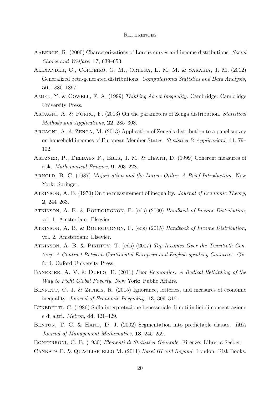#### **REFERENCES**

- AABERGE, R. (2000) Characterizations of Lorenz curves and income distributions. Social Choice and Welfare, 17, 639–653.
- Alexander, C., Cordeiro, G. M., Ortega, E. M. M. & Sarabia, J. M. (2012) Generalized beta-generated distributions. Computational Statistics and Data Analysis, 56, 1880–1897.
- AMIEL, Y. & COWELL, F. A. (1999) Thinking About Inequality. Cambridge: Cambridge University Press.
- Arcagni, A. & Porro, F. (2013) On the parameters of Zenga distribution. Statistical Methods and Applications, 22, 285–303.
- Arcagni, A. & Zenga, M. (2013) Application of Zenga's distribution to a panel survey on household incomes of European Member States. Statistica & Applicazioni, 11, 79– 102.
- Artzner, P., Delbaen F., Eber, J. M. & Heath, D. (1999) Coherent measures of risk. Mathematical Finance, 9, 203–228.
- ARNOLD, B. C. (1987) Majorization and the Lorenz Order: A Brief Introduction. New York: Springer.
- Atkinson, A. B. (1970) On the measurement of inequality. Journal of Economic Theory, 2, 244–263.
- Atkinson, A. B. & Bourguignon, F. (eds) (2000) Handbook of Income Distribution, vol. 1. Amsterdam: Elsevier.
- ATKINSON, A. B. & BOURGUIGNON, F. (eds) (2015) Handbook of Income Distribution, vol. 2. Amsterdam: Elsevier.
- ATKINSON, A. B. & PIKETTY, T. (eds) (2007) Top Incomes Over the Twentieth Century: A Contrast Between Continental European and English-speaking Countries. Oxford: Oxford University Press.
- BANERJEE, A. V. & DUFLO, E. (2011) Poor Economics: A Radical Rethinking of the Way to Fight Global Poverty. New York: Public Affairs.
- BENNETT, C. J. & ZITIKIS, R. (2015) Ignorance, lotteries, and measures of economic inequality. Journal of Economic Inequality, 13, 309–316.
- BENEDETTI, C. (1986) Sulla interpretazione benesseriale di noti indici di concentrazione e di altri. Metron, 44, 421–429.
- BENTON, T. C. & HAND, D. J. (2002) Segmentation into predictable classes. IMA Journal of Management Mathematics, 13, 245–259.

BONFERRONI, C. E. (1930) Elementi di Statistica Generale. Firenze: Libreria Seeber.

Cannata F. & Quagliariello M. (2011) Basel III and Beyond. London: Risk Books.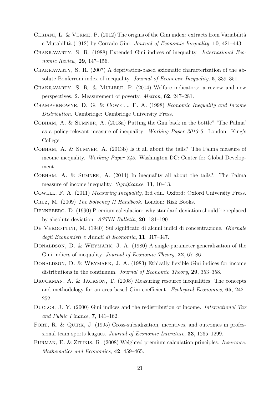- CERIANI, L. & VERME,  $P. (2012)$  The origins of the Gini index: extracts from Variabilità e Mutabilità (1912) by Corrado Gini. Journal of Economic Inequality, 10, 421–443.
- Chakravarty, S. R. (1988) Extended Gini indices of inequality. International Economic Review, 29, 147–156.
- Chakravarty, S. R. (2007) A deprivation-based axiomatic characterization of the absolute Bonferroni index of inequality. Journal of Economic Inequality, 5, 339-351.
- Chakravarty, S. R. & Muliere, P. (2004) Welfare indicators: a review and new perspectives. 2. Measurement of poverty. Metron, 62, 247–281.
- Champernowne, D. G. & Cowell, F. A. (1998) Economic Inequality and Income Distribution. Cambridge: Cambridge University Press.
- Cobham, A. & Sumner, A. (2013a) Putting the Gini back in the bottle? 'The Palma' as a policy-relevant measure of inequality. Working Paper 2013-5. London: King's College.
- Cobham, A. & Sumner, A. (2013b) Is it all about the tails? The Palma measure of income inequality. Working Paper 343. Washington DC: Center for Global Development.
- Cobham, A. & Sumner, A. (2014) In inequality all about the tails?: The Palma measure of income inequality. *Significance*, **11**, 10–13.
- Cowell, F. A. (2011) Measuring Inequality, 3rd edn. Oxford: Oxford University Press.
- Cruz, M. (2009) The Solvency II Handbook. London: Risk Books.
- DENNEBERG, D. (1990) Premium calculation: why standard deviation should be replaced by absolute deviation. ASTIN Bulletin, 20, 181–190.
- DE VERGOTTINI, M. (1940) Sul significato di alcuni indici di concentrazione. Giornale degli Economisti e Annali di Economia, 11, 317–347.
- DONALDSON, D. & WEYMARK, J. A. (1980) A single-parameter generalization of the Gini indices of inequality. *Journal of Economic Theory*, **22**, 67–86.
- DONALDSON, D. & WEYMARK, J. A. (1983) Ethically flexible Gini indices for income distributions in the continuum. Journal of Economic Theory, 29, 353–358.
- Druckman, A. & Jackson, T. (2008) Measuring resource inequalities: The concepts and methodology for an area-based Gini coefficient. Ecological Economics, 65, 242– 252.
- DUCLOS, J. Y. (2000) Gini indices and the redistribution of income. *International Tax* and Public Finance, 7, 141–162.
- FORT, R. & QUIRK, J. (1995) Cross-subsidization, incentives, and outcomes in professional team sports leagues. Journal of Economic Literature, 33, 1265–1299.
- Furman, E. & Zitikis, R. (2008) Weighted premium calculation principles. Insurance: Mathematics and Economics, 42, 459–465.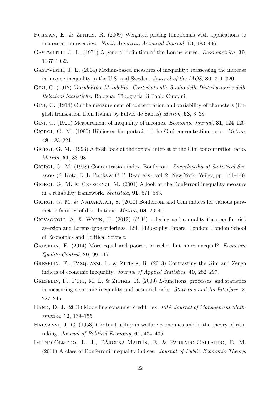- FURMAN, E. & ZITIKIS, R. (2009) Weighted pricing functionals with applications to insurance: an overview. North American Actuarial Journal, 13, 483–496.
- GASTWIRTH, J. L. (1971) A general definition of the Lorenz curve. *Econometrica*, 39, 1037–1039.
- Gastwirth, J. L. (2014) Median-based measures of inequality: reassessing the increase in income inequality in the U.S. and Sweden. Journal of the IAOS, 30, 311–320.
- GINI, C. (1912) *Variabilità e Mutabilità: Contributo allo Studio delle Distribuzioni e delle* Relazioni Statistiche. Bologna: Tipografia di Paolo Cuppini.
- GINI, C. (1914) On the measurement of concentration and variability of characters (English translation from Italian by Fulvio de Santis) Metron, 63, 3–38.
- GINI, C. (1921) Measurement of inequality of incomes. *Economic Journal*, **31**, 124–126
- GIORGI, G. M. (1990) Bibliographic portrait of the Gini concentration ratio. *Metron*, 48, 183–221.
- Giorgi, G. M. (1993) A fresh look at the topical interest of the Gini concentration ratio. Metron, 51, 83–98.
- Giorgi, G. M. (1998) Concentration index, Bonferroni. Encyclopedia of Statistical Sciences (S. Kotz, D. L. Banks  $\&\,C. B.$  Read eds), vol. 2. New York: Wiley, pp. 141–146.
- GIORGI, G. M. & CRESCENZI, M. (2001) A look at the Bonferroni inequality measure in a reliability framework. Statistica, 91, 571–583.
- GIORGI, G. M. & NADARAJAH, S. (2010) Bonferroni and Gini indices for various parametric families of distributions. Metron, 68, 23–46.
- GIOVAGNOLI, A. & WYNN, H. (2012)  $(U, V)$ -ordering and a duality theorem for risk aversion and Lorenz-type orderings. LSE Philosophy Papers. London: London School of Economics and Political Science.
- GRESELIN, F. (2014) More equal and poorer, or richer but more unequal? *Economic* Quality Control, 29, 99–117.
- Greselin, F., Pasquazzi, L. & Zitikis, R. (2013) Contrasting the Gini and Zenga indices of economic inequality. *Journal of Applied Statistics*, **40**, 282–297.
- GRESELIN, F., PURI, M. L. & ZITIKIS, R. (2009) L-functions, processes, and statistics in measuring economic inequality and actuarial risks. Statistics and Its Interface, 2, 227–245.
- HAND, D. J. (2001) Modelling consumer credit risk. *IMA Journal of Management Math*ematics, 12, 139–155.
- Harsanyi, J. C. (1953) Cardinal utility in welfare economics and in the theory of risktaking. Journal of Political Economy, 61, 434–435.
- IMEDIO-OLMEDO, L. J., BÁRCENA-MARTÍN, E. & PARRADO-GALLARDO, E. M. (2011) A class of Bonferroni inequality indices. Journal of Public Economic Theory,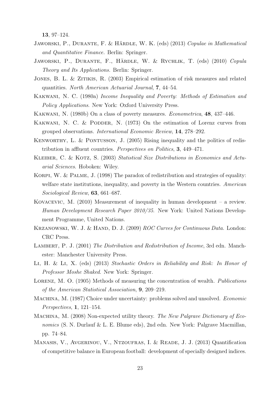13, 97–124.

- JAWORSKI, P., DURANTE, F. & HÄRDLE, W. K. (eds) (2013) Copulae in Mathematical and Quantitative Finance. Berlin: Springer.
- JAWORSKI, P., DURANTE, F., HÄRDLE, W. & RYCHLIK, T. (eds) (2010) Copula Theory and Its Applications. Berlin: Springer.
- JONES, B. L. & ZITIKIS, R. (2003) Empirical estimation of risk measures and related quantities. North American Actuarial Journal, 7, 44–54.
- Kakwani, N. C. (1980a) Income Inequality and Poverty: Methods of Estimation and Policy Applications. New York: Oxford University Press.
- Kakwani, N. (1980b) On a class of poverty measures. Econometrica, 48, 437–446.
- KAKWANI, N. C. & PODDER, N.  $(1973)$  On the estimation of Lorenz curves from grouped observations. International Economic Review, 14, 278–292.
- KENWORTHY, L. & PONTUSSON, J. (2005) Rising inequality and the politics of redistribution in affluent countries. Perspectives on Politics, 3, 449–471.
- KLEIBER, C. & KOTZ, S. (2003) Statistical Size Distributions in Economics and Actuarial Sciences. Hoboken: Wiley.
- KORPI, W. & PALME, J. (1998) The paradox of redistribution and strategies of equality: welfare state institutions, inequality, and poverty in the Western countries. American Sociological Review, 63, 661–687.
- Kovacevic, M. (2010) Measurement of inequality in human development a review. Human Development Research Paper 2010/35. New York: United Nations Development Programme, United Nations.
- KRZANOWSKI, W. J. & HAND, D. J. (2009) ROC Curves for Continuous Data. London: CRC Press.
- LAMBERT, P. J. (2001) The Distribution and Redistribution of Income, 3rd edn. Manchester: Manchester University Press.
- Li, H. & Li, X. (eds) (2013) Stochastic Orders in Reliability and Risk: In Honor of Professor Moshe Shaked. New York: Springer.
- LORENZ, M. O. (1905) Methods of measuring the concentration of wealth. Publications of the American Statistical Association, 9, 209–219.
- MACHINA, M. (1987) Choice under uncertainty: problems solved and unsolved. Economic Perspectives, 1, 121–154.
- MACHINA, M. (2008) Non-expected utility theory. The New Palgrave Dictionary of Economics (S. N. Durlauf & L. E. Blume eds), 2nd edn. New York: Palgrave Macmillan, pp. 74–84.
- Manasis, V., Avgerinou, V., Ntzoufras, I. & Reade, J. J. (2013) Quantification of competitive balance in European football: development of specially designed indices.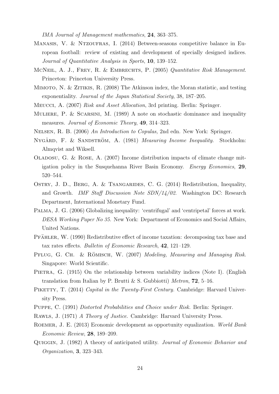IMA Journal of Management mathematics, 24, 363–375.

- Manasis, V. & Ntzoufras, I. (2014) Between-seasons competitive balance in European football: review of existing and development of specially designed indices. Journal of Quantitative Analysis in Sports, 10, 139–152.
- MCNEIL, A. J., FREY, R. & EMBRECHTS, P. (2005) Quantitative Risk Management. Princeton: Princeton University Press.
- Mimoto, N. & Zitikis, R. (2008) The Atkinson index, the Moran statistic, and testing exponentiality. Journal of the Japan Statistical Society, 38, 187–205.
- Meucci, A. (2007) Risk and Asset Allocation, 3rd printing. Berlin: Springer.
- Muliere, P. & Scarsini, M. (1989) A note on stochastic dominance and inequality measures. *Journal of Economic Theory*, **49**, 314–323.
- Nelsen, R. B. (2006) An Introduction to Copulas, 2nd edn. New York: Springer.
- NYGÅRD, F. & SANDSTRÖM, A. (1981) Measuring Income Inequality. Stockholm: Almqvist and Wiksell.
- OLADOSU, G. & ROSE, A.  $(2007)$  Income distribution impacts of climate change mitigation policy in the Susquehanna River Basin Economy. Energy Economics, 29, 520–544.
- OSTRY, J. D., BERG, A. & TSANGARIDES, C. G. (2014) Redistribution, Inequality, and Growth. IMF Staff Discussion Note SDN/14/02. Washington DC: Research Department, International Monetary Fund.
- Palma, J. G. (2006) Globalizing inequality: 'centrifugal' and 'centripetal' forces at work. DESA Working Paper No 35. New York: Department of Economics and Social Affairs, United Nations.
- PFÄHLER, W. (1990) Redistributive effect of income taxation: decomposing tax base and tax rates effects. Bulletin of Economic Research, 42, 121–129.
- PFLUG, G. CH. & RÖMISCH, W. (2007) Modeling, Measuring and Managing Risk. Singapore: World Scientific.
- PIETRA, G. (1915) On the relationship between variability indices (Note I). (English translation from Italian by P. Brutti & S. Gubbiotti) Metron,  $72$ , 5–16.
- PIKETTY, T. (2014) Capital in the Twenty-First Century. Cambridge: Harvard University Press.
- Puppe, C. (1991) Distorted Probabilities and Choice under Risk. Berlin: Springer.
- Rawls, J. (1971) A Theory of Justice. Cambridge: Harvard University Press.
- Roemer, J. E. (2013) Economic development as opportunity equalization. World Bank Economic Review, 28, 189–209.
- Quiggin, J. (1982) A theory of anticipated utility. Journal of Economic Behavior and Organization, 3, 323–343.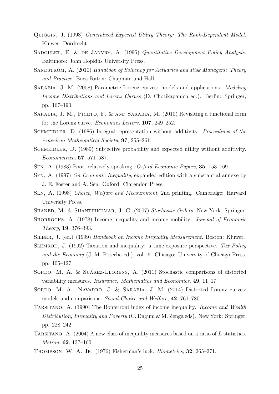- Quiggin, J. (1993) Generalized Expected Utility Theory: The Rank-Dependent Model. Kluwer: Dordrecht.
- SADOULET, E. & DE JANVRY, A. (1995) Quantitative Development Policy Analysis. Baltimore: John Hopkins University Press.
- SANDSTRÖM, A. (2010) Handbook of Solvency for Actuaries and Risk Managers: Theory and Practice. Boca Raton: Chapman and Hall.
- Sarabia, J. M. (2008) Parametric Lorenz curves: models and applications. Modeling Income Distributions and Lorenz Curves (D. Chotikapanich ed.). Berlin: Springer, pp. 167–190.
- SARABIA, J. M., PRIETO, F. & AND SARABIA, M. (2010) Revisiting a functional form for the Lorenz curve. Economics Letters, 107, 249–252.
- SCHMEIDLER, D. (1986) Integral representation without additivity. Proceedings of the American Mathematical Society, 97, 255–261.
- SCHMEIDLER, D. (1989) Subjective probability and expected utility without additivity. Econometrica, 57, 571–587.
- Sen, A. (1983) Poor, relatively speaking. Oxford Economic Papers, 35, 153–169.
- Sen, A. (1997) On Economic Inequality, expanded edition with a substantial annexe by J. E. Foster and A. Sen. Oxford: Clarendon Press.
- Sen, A. (1998) Choice, Welfare and Measurement, 2nd printing. Cambridge: Harvard University Press.
- SHAKED, M. & SHANTHIKUMAR, J. G. (2007) Stochastic Orders. New York: Springer.
- SHORROCKS, A. (1978) Income inequality and income mobility. *Journal of Economic* Theory, 19, 376–393.
- Silber, J. (ed.) (1999) Handbook on Income Inequality Measurement. Boston: Kluwer.
- SLEMROD, J. (1992) Taxation and inequality: a time-exposure perspective. Tax Policy and the Economy (J. M. Poterba ed.), vol. 6. Chicago: University of Chicago Press, pp. 105–127.
- SORDO, M. A. & SUÁREZ-LLORENS, A. (2011) Stochastic comparisons of distorted variability measures. Insurance: Mathematics and Economics, 49, 11–17.
- SORDO, M. A., NAVARRO, J. & SARABIA, J. M. (2014) Distorted Lorenz curves: models and comparisons. Social Choice and Welfare, 42, 761–780.
- TARSITANO, A. (1990) The Bonferroni index of income inequality. *Income and Wealth* Distribution, Inequality and Poverty (C. Dagum & M. Zenga eds). New York: Springer, pp. 228–242.
- TARSITANO, A. (2004) A new class of inequality measures based on a ratio of L-statistics. Metron, 62, 137–160.
- THOMPSON, W. A. JR. (1976) Fisherman's luck. Biometrics, 32, 265-271.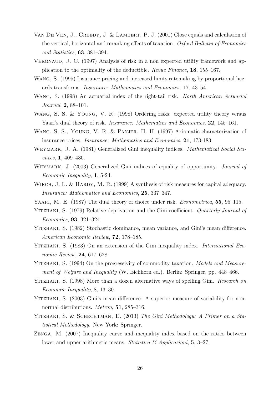- VAN DE VEN, J., CREEDY, J. & LAMBERT, P. J.  $(2001)$  Close equals and calculation of the vertical, horizontal and reranking effects of taxation. Oxford Bulletin of Economics and Statistics, 63, 381–394.
- VERGNAUD, J. C. (1997) Analysis of risk in a non expected utility framework and application to the optimality of the deductible. Revue Finance, 18, 155–167.
- Wang, S. (1995) Insurance pricing and increased limits ratemaking by proportional hazards transforms. Insurance: Mathematics and Economics, 17, 43–54.
- WANG, S. (1998) An actuarial index of the right-tail risk. North American Actuarial Journal, 2, 88–101.
- Wang, S. S. & Young, V. R. (1998) Ordering risks: expected utility theory versus Yaari's dual theory of risk. *Insurance: Mathematics and Economics*, 22, 145–161.
- Wang, S. S., Young, V. R. & Panjer, H. H. (1997) Axiomatic characterization of insurance prices. Insurance: Mathematics and Economics, 21, 173-183
- WEYMARK, J. A. (1981) Generalized Gini inequality indices. *Mathematical Social Sci*ences, 1, 409–430.
- WEYMARK, J. (2003) Generalized Gini indices of equality of opportunity. *Journal of* Economic Inequality, 1, 5-24.
- WIRCH, J. L. & HARDY, M. R. (1999) A synthesis of risk measures for capital adequacy. Insurance: Mathematics and Economics, 25, 337–347.
- YAARI, M. E. (1987) The dual theory of choice under risk. *Econometrica*, **55**, 95–115.
- YITZHAKI, S. (1979) Relative deprivation and the Gini coefficient. *Quarterly Journal of* Economics, 93, 321–324.
- Yitzhaki, S. (1982) Stochastic dominance, mean variance, and Gini's mean difference. American Economic Review, 72, 178–185.
- YITZHAKI, S. (1983) On an extension of the Gini inequality index. *International Eco*nomic Review, 24, 617–628.
- YITZHAKI, S. (1994) On the progressivity of commodity taxation. Models and Measurement of Welfare and Inequality (W. Eichhorn ed.). Berlin: Springer, pp. 448–466.
- YITZHAKI, S. (1998) More than a dozen alternative ways of spelling Gini. Research on Economic Inequality, 8, 13–30.
- YITZHAKI, S. (2003) Gini's mean difference: A superior measure of variability for nonnormal distributions. *Metron*, **51**, 285–316.
- Yitzhaki, S. & Schechtman, E. (2013) The Gini Methodology: A Primer on a Statistical Methodology. New York: Springer.
- Zenga, M. (2007) Inequality curve and inequality index based on the ratios between lower and upper arithmetic means. Statistica  $\mathcal{B}'$  Applicazioni, 5, 3–27.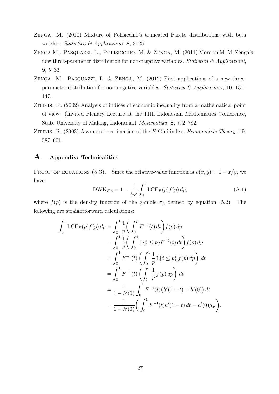- Zenga, M. (2010) Mixture of Polisicchio's truncated Pareto distributions with beta weights. Statistica & Applicazioni, 8, 3-25.
- Zenga M., Pasquazzi, L., Polisicchio, M. & Zenga, M. (2011) More on M. M. Zenga's new three-parameter distribution for non-negative variables. Statistica  $\mathcal{C}$  Applicazioni, 9, 5–33.
- ZENGA, M., PASQUAZZI, L. & ZENGA, M. (2012) First applications of a new threeparameter distribution for non-negative variables. Statistica  $\mathscr{C}$  Applicazioni, 10, 131– 147.
- ZITIKIS, R. (2002) Analysis of indices of economic inequality from a mathematical point of view. (Invited Plenary Lecture at the 11th Indonesian Mathematics Conference, State University of Malang, Indonesia.) Matematika, 8, 772–782.
- ZITIKIS, R.  $(2003)$  Asymptotic estimation of the E-Gini index. Econometric Theory, 19, 587–601.

## A Appendix: Technicalities

PROOF OF EQUATIONS (5.3). Since the relative-value function is  $v(x, y) = 1 - x/y$ , we have

$$
DWK_{F,h} = 1 - \frac{1}{\mu_F} \int_0^1 \text{LCE}_F(p) f(p) \, dp,\tag{A.1}
$$

where  $f(p)$  is the density function of the gamble  $\pi_h$  defined by equation (5.2). The following are straightforward calculations:

$$
\int_0^1 \text{LCE}_F(p)f(p) \, dp = \int_0^1 \frac{1}{p} \left( \int_0^p F^{-1}(t) \, dt \right) f(p) \, dp
$$
\n
$$
= \int_0^1 \frac{1}{p} \left( \int_0^1 \mathbf{1} \{ t \le p \} F^{-1}(t) \, dt \right) f(p) \, dp
$$
\n
$$
= \int_0^1 F^{-1}(t) \left( \int_0^1 \frac{1}{p} \mathbf{1} \{ t \le p \} \, f(p) \, dp \right) \, dt
$$
\n
$$
= \int_0^1 F^{-1}(t) \left( \int_t^1 \frac{1}{p} \, f(p) \, dp \right) \, dt
$$
\n
$$
= \frac{1}{1 - h'(0)} \int_0^1 F^{-1}(t) \left( h'(1 - t) - h'(0) \right) \, dt
$$
\n
$$
= \frac{1}{1 - h'(0)} \left( \int_0^1 F^{-1}(t) h'(1 - t) \, dt - h'(0) \mu_F \right).
$$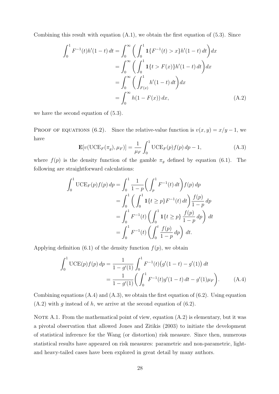Combining this result with equation  $(A.1)$ , we obtain the first equation of  $(5.3)$ . Since

$$
\int_0^1 F^{-1}(t)h'(1-t) dt = \int_0^\infty \left( \int_0^1 \mathbf{1}\{F^{-1}(t) > x\}h'(1-t) dt \right) dx
$$
  
\n
$$
= \int_0^\infty \left( \int_0^1 \mathbf{1}\{t > F(x)\}h'(1-t) dt \right) dx
$$
  
\n
$$
= \int_0^\infty \left( \int_{F(x)}^1 h'(1-t) dt \right) dx
$$
  
\n
$$
= \int_0^\infty h(1 - F(x)) dx,
$$
 (A.2)

we have the second equation of (5.3).

PROOF OF EQUATIONS (6.2). Since the relative-value function is  $v(x, y) = x/y - 1$ , we have

$$
\mathbf{E}[v(\text{UCE}_F(\pi_g), \mu_F)] = \frac{1}{\mu_F} \int_0^1 \text{UCE}_F(p) f(p) dp - 1,
$$
 (A.3)

where  $f(p)$  is the density function of the gamble  $\pi_g$  defined by equation (6.1). The following are straightforward calculations:

$$
\int_0^1 \text{UCE}_F(p) f(p) \, dp = \int_0^1 \frac{1}{1-p} \left( \int_p^1 F^{-1}(t) \, dt \right) f(p) \, dp
$$
  
= 
$$
\int_0^1 \left( \int_0^1 \mathbf{1} \{ t \ge p \} F^{-1}(t) \, dt \right) \frac{f(p)}{1-p} \, dp
$$
  
= 
$$
\int_0^1 F^{-1}(t) \left( \int_0^1 \mathbf{1} \{ t \ge p \} \frac{f(p)}{1-p} \, dp \right) \, dt
$$
  
= 
$$
\int_0^1 F^{-1}(t) \left( \int_0^t \frac{f(p)}{1-p} \, dp \right) \, dt.
$$

Applying definition (6.1) of the density function  $f(p)$ , we obtain

$$
\int_0^1 \text{UCE}(p)f(p) \, dp = \frac{1}{1 - g'(1)} \int_0^1 F^{-1}(t) \big(g'(1 - t) - g'(1)\big) \, dt
$$
\n
$$
= \frac{1}{1 - g'(1)} \bigg( \int_0^1 F^{-1}(t) g'(1 - t) \, dt - g'(1) \mu_F \bigg). \tag{A.4}
$$

Combining equations  $(A.4)$  and  $(A.3)$ , we obtain the first equation of  $(6.2)$ . Using equation  $(A.2)$  with g instead of h, we arrive at the second equation of  $(6.2)$ .

NOTE A.1. From the mathematical point of view, equation  $(A.2)$  is elementary, but it was a pivotal observation that allowed Jones and Zitikis (2003) to initiate the development of statistical inference for the Wang (or distortion) risk measure. Since then, numerous statistical results have appeared on risk measures: parametric and non-parametric, lightand heavy-tailed cases have been explored in great detail by many authors.